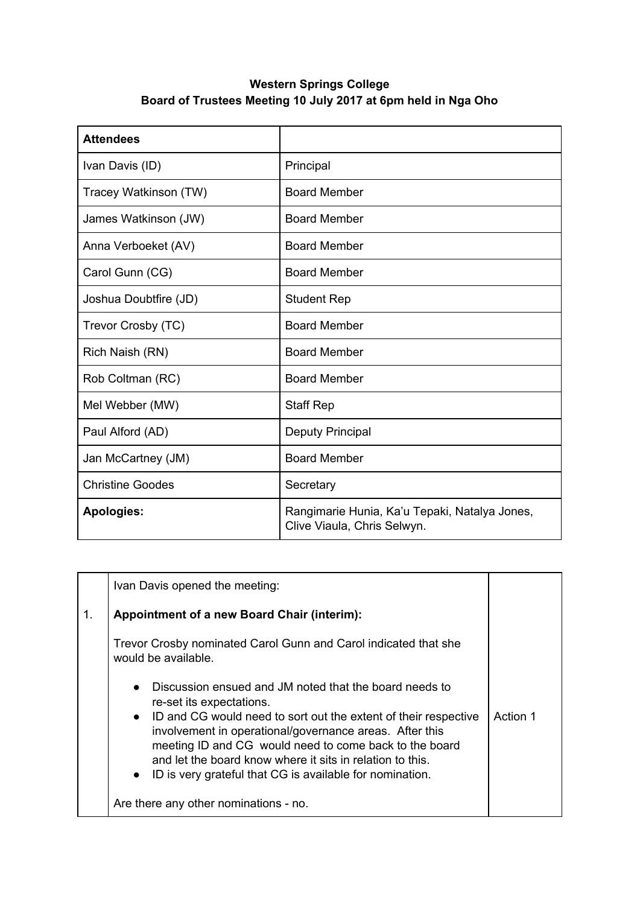## **Western Springs College Board of Trustees Meeting 10 July 2017 at 6pm held in Nga Oho**

| <b>Attendees</b>        |                                                                              |
|-------------------------|------------------------------------------------------------------------------|
| Ivan Davis (ID)         | Principal                                                                    |
| Tracey Watkinson (TW)   | <b>Board Member</b>                                                          |
| James Watkinson (JW)    | <b>Board Member</b>                                                          |
| Anna Verboeket (AV)     | <b>Board Member</b>                                                          |
| Carol Gunn (CG)         | <b>Board Member</b>                                                          |
| Joshua Doubtfire (JD)   | <b>Student Rep</b>                                                           |
| Trevor Crosby (TC)      | <b>Board Member</b>                                                          |
| Rich Naish (RN)         | <b>Board Member</b>                                                          |
| Rob Coltman (RC)        | <b>Board Member</b>                                                          |
| Mel Webber (MW)         | <b>Staff Rep</b>                                                             |
| Paul Alford (AD)        | Deputy Principal                                                             |
| Jan McCartney (JM)      | <b>Board Member</b>                                                          |
| <b>Christine Goodes</b> | Secretary                                                                    |
| <b>Apologies:</b>       | Rangimarie Hunia, Ka'u Tepaki, Natalya Jones,<br>Clive Viaula, Chris Selwyn. |

|                | Ivan Davis opened the meeting:                                                                                                                                                                                                                                                                                                                                                                                                  |          |
|----------------|---------------------------------------------------------------------------------------------------------------------------------------------------------------------------------------------------------------------------------------------------------------------------------------------------------------------------------------------------------------------------------------------------------------------------------|----------|
| $\mathbf{1}$ . | <b>Appointment of a new Board Chair (interim):</b>                                                                                                                                                                                                                                                                                                                                                                              |          |
|                | Trevor Crosby nominated Carol Gunn and Carol indicated that she<br>would be available.                                                                                                                                                                                                                                                                                                                                          |          |
|                | Discussion ensued and JM noted that the board needs to<br>$\bullet$<br>re-set its expectations.<br>• ID and CG would need to sort out the extent of their respective<br>involvement in operational/governance areas. After this<br>meeting ID and CG would need to come back to the board<br>and let the board know where it sits in relation to this.<br>ID is very grateful that CG is available for nomination.<br>$\bullet$ | Action 1 |
|                | Are there any other nominations - no.                                                                                                                                                                                                                                                                                                                                                                                           |          |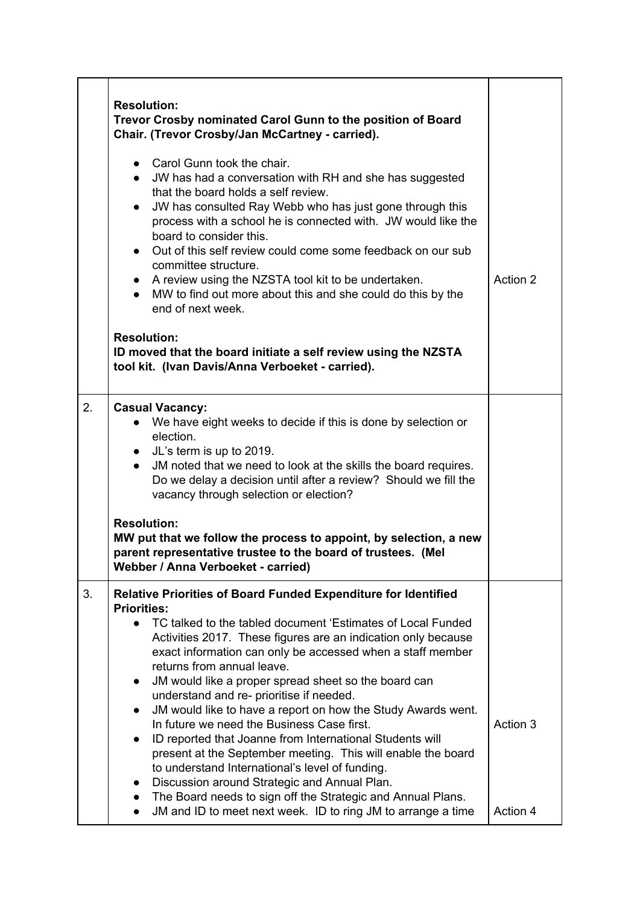|    | <b>Resolution:</b><br>Trevor Crosby nominated Carol Gunn to the position of Board<br>Chair. (Trevor Crosby/Jan McCartney - carried).<br>• Carol Gunn took the chair.<br>JW has had a conversation with RH and she has suggested                                                                                                                                                                                                                                                                                                                                                                                                                                                                                                                                                                                                                                                                                                                                                                    |                      |
|----|----------------------------------------------------------------------------------------------------------------------------------------------------------------------------------------------------------------------------------------------------------------------------------------------------------------------------------------------------------------------------------------------------------------------------------------------------------------------------------------------------------------------------------------------------------------------------------------------------------------------------------------------------------------------------------------------------------------------------------------------------------------------------------------------------------------------------------------------------------------------------------------------------------------------------------------------------------------------------------------------------|----------------------|
|    | that the board holds a self review.<br>JW has consulted Ray Webb who has just gone through this<br>$\bullet$<br>process with a school he is connected with. JW would like the<br>board to consider this.<br>• Out of this self review could come some feedback on our sub<br>committee structure.<br>A review using the NZSTA tool kit to be undertaken.<br>MW to find out more about this and she could do this by the<br>end of next week.                                                                                                                                                                                                                                                                                                                                                                                                                                                                                                                                                       | Action 2             |
|    | <b>Resolution:</b><br>ID moved that the board initiate a self review using the NZSTA<br>tool kit. (Ivan Davis/Anna Verboeket - carried).                                                                                                                                                                                                                                                                                                                                                                                                                                                                                                                                                                                                                                                                                                                                                                                                                                                           |                      |
| 2. | <b>Casual Vacancy:</b><br>We have eight weeks to decide if this is done by selection or<br>election.<br>• JL's term is up to 2019.<br>JM noted that we need to look at the skills the board requires.<br>Do we delay a decision until after a review? Should we fill the<br>vacancy through selection or election?<br><b>Resolution:</b>                                                                                                                                                                                                                                                                                                                                                                                                                                                                                                                                                                                                                                                           |                      |
|    | MW put that we follow the process to appoint, by selection, a new<br>parent representative trustee to the board of trustees. (Mel<br>Webber / Anna Verboeket - carried)                                                                                                                                                                                                                                                                                                                                                                                                                                                                                                                                                                                                                                                                                                                                                                                                                            |                      |
| 3. | <b>Relative Priorities of Board Funded Expenditure for Identified</b><br><b>Priorities:</b><br>TC talked to the tabled document 'Estimates of Local Funded<br>$\bullet$<br>Activities 2017. These figures are an indication only because<br>exact information can only be accessed when a staff member<br>returns from annual leave.<br>JM would like a proper spread sheet so the board can<br>$\bullet$<br>understand and re- prioritise if needed.<br>JM would like to have a report on how the Study Awards went.<br>$\bullet$<br>In future we need the Business Case first.<br>ID reported that Joanne from International Students will<br>$\bullet$<br>present at the September meeting. This will enable the board<br>to understand International's level of funding.<br>Discussion around Strategic and Annual Plan.<br>$\bullet$<br>The Board needs to sign off the Strategic and Annual Plans.<br>$\bullet$<br>JM and ID to meet next week. ID to ring JM to arrange a time<br>$\bullet$ | Action 3<br>Action 4 |